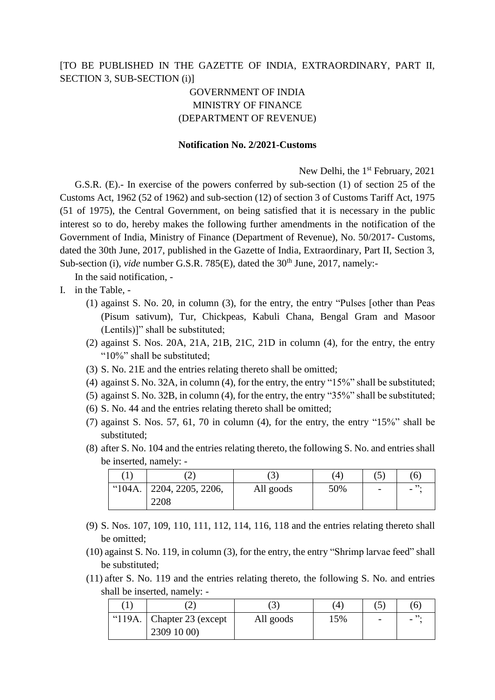## [TO BE PUBLISHED IN THE GAZETTE OF INDIA, EXTRAORDINARY, PART II, SECTION 3, SUB-SECTION (i)]

## GOVERNMENT OF INDIA MINISTRY OF FINANCE (DEPARTMENT OF REVENUE)

## **Notification No. 2/2021-Customs**

New Delhi, the 1<sup>st</sup> February, 2021 G.S.R. (E).- In exercise of the powers conferred by sub-section (1) of section 25 of the Customs Act, 1962 (52 of 1962) and sub-section (12) of section 3 of Customs Tariff Act, 1975 (51 of 1975), the Central Government, on being satisfied that it is necessary in the public interest so to do, hereby makes the following further amendments in the notification of the Government of India, Ministry of Finance (Department of Revenue), No. 50/2017- Customs, dated the 30th June, 2017, published in the Gazette of India, Extraordinary, Part II, Section 3, Sub-section (i), *vide* number G.S.R. 785(E), dated the 30<sup>th</sup> June, 2017, namely:-

In the said notification, -

- I. in the Table,
	- (1) against S. No. 20, in column (3), for the entry, the entry "Pulses [other than Peas (Pisum sativum), Tur, Chickpeas, Kabuli Chana, Bengal Gram and Masoor (Lentils)]" shall be substituted;
	- (2) against S. Nos. 20A, 21A, 21B, 21C, 21D in column (4), for the entry, the entry "10%" shall be substituted;
	- (3) S. No. 21E and the entries relating thereto shall be omitted;
	- (4) against S. No. 32A, in column (4), for the entry, the entry "15%" shall be substituted;
	- (5) against S. No. 32B, in column (4), for the entry, the entry "35%" shall be substituted;
	- (6) S. No. 44 and the entries relating thereto shall be omitted;
	- (7) against S. Nos. 57, 61, 70 in column (4), for the entry, the entry "15%" shall be substituted;
	- (8) after S. No. 104 and the entries relating thereto, the following S. No. and entries shall be inserted, namely: -

|  | ∠                             | . 3       | $\frac{4}{4}$ | J                        | 6) |
|--|-------------------------------|-----------|---------------|--------------------------|----|
|  | " $104A.$   2204, 2205, 2206, | All goods | 50%           | $\overline{\phantom{0}}$ | -  |
|  | 2208                          |           |               |                          |    |

- (9) S. Nos. 107, 109, 110, 111, 112, 114, 116, 118 and the entries relating thereto shall be omitted;
- (10) against S. No. 119, in column (3), for the entry, the entry "Shrimp larvae feed" shall be substituted;
- (11) after S. No. 119 and the entries relating thereto, the following S. No. and entries shall be inserted, namely: -

|        | $\overline{ }$     | $\mathfrak{Z}^{\prime}$ | $\overline{4}$ | 5 | (6) |
|--------|--------------------|-------------------------|----------------|---|-----|
| "119A. | Chapter 23 (except | All goods               | 15%            | - | -   |
|        | 2309 10 00)        |                         |                |   |     |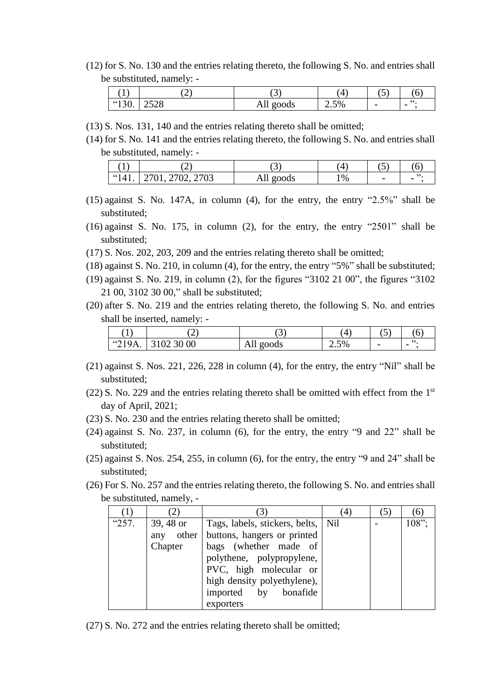(12) for S. No. 130 and the entries relating thereto, the following S. No. and entries shall be substituted, namely: -

|               | ↵            | ັ                       | $\lambda$<br>4 | . <b>.</b> .<br>U        | ◡                                                   |
|---------------|--------------|-------------------------|----------------|--------------------------|-----------------------------------------------------|
| (130)<br>190. | 2500<br>2920 | goods<br>A <sub>H</sub> | 2.5%           | $\overline{\phantom{0}}$ | $\bullet \bullet$<br>,,<br>$\overline{\phantom{0}}$ |

- (13) S. Nos. 131, 140 and the entries relating thereto shall be omitted;
- (14) for S. No. 141 and the entries relating thereto, the following S. No. and entries shall be substituted, namely: -

|             | ⌒<br>∼                                                       | ັ             | Δ    | ັ                        | л. |
|-------------|--------------------------------------------------------------|---------------|------|--------------------------|----|
| 661<br>141. | 2703<br>$2700 \div$<br>$\mathbf{L}$<br>υ∠,<br>$\mathbf{v}$ . | goods<br>AII. | $\%$ | $\overline{\phantom{0}}$ |    |

- (15) against S. No. 147A, in column (4), for the entry, the entry "2.5%" shall be substituted;
- (16) against S. No. 175, in column (2), for the entry, the entry "2501" shall be substituted;
- (17) S. Nos. 202, 203, 209 and the entries relating thereto shall be omitted;
- (18) against S. No. 210, in column (4), for the entry, the entry "5%" shall be substituted;
- (19) against S. No. 219, in column (2), for the figures "3102 21 00", the figures "3102 21 00, 3102 30 00," shall be substituted;
- (20) after S. No. 219 and the entries relating thereto, the following S. No. and entries shall be inserted, namely: -

| 1      |            | ັ            | $\frac{4}{4}$ | ີ້                       |                          |
|--------|------------|--------------|---------------|--------------------------|--------------------------|
| "219A. | 3102 30 00 | goods<br>All | 2.5%          | $\overline{\phantom{0}}$ | $\overline{\phantom{0}}$ |

- (21) against S. Nos. 221, 226, 228 in column (4), for the entry, the entry "Nil" shall be substituted;
- (22) S. No. 229 and the entries relating thereto shall be omitted with effect from the  $1<sup>st</sup>$ day of April, 2021;
- (23) S. No. 230 and the entries relating thereto shall be omitted;
- (24) against S. No. 237, in column (6), for the entry, the entry "9 and 22" shall be substituted;
- (25) against S. Nos. 254, 255, in column (6), for the entry, the entry "9 and 24" shall be substituted;
- (26) For S. No. 257 and the entries relating thereto, the following S. No. and entries shall be substituted, namely, -

|       |           |                                         | 4 |       |
|-------|-----------|-----------------------------------------|---|-------|
| "257. | 39, 48 or | Tags, labels, stickers, belts, Nil      |   | 108"; |
|       |           | any other   buttons, hangers or printed |   |       |
|       | Chapter   | bags (whether made of                   |   |       |
|       |           | polythene, polypropylene,               |   |       |
|       |           | PVC, high molecular or                  |   |       |
|       |           | high density polyethylene),             |   |       |
|       |           | imported by bonafide                    |   |       |
|       |           | exporters                               |   |       |

(27) S. No. 272 and the entries relating thereto shall be omitted;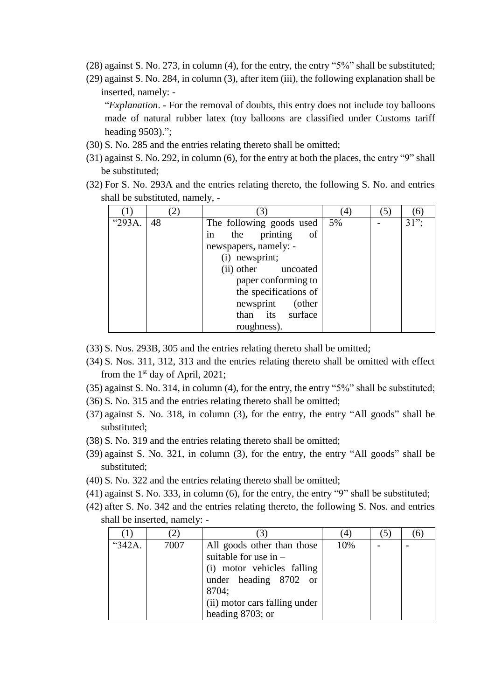- (28) against S. No. 273, in column (4), for the entry, the entry "5%" shall be substituted;
- (29) against S. No. 284, in column (3), after item (iii), the following explanation shall be inserted, namely: -

"*Explanation*. - For the removal of doubts, this entry does not include toy balloons made of natural rubber latex (toy balloons are classified under Customs tariff heading 9503).";

- (30) S. No. 285 and the entries relating thereto shall be omitted;
- (31) against S. No. 292, in column (6), for the entry at both the places, the entry "9" shall be substituted;
- (32) For S. No. 293A and the entries relating thereto, the following S. No. and entries shall be substituted, namely, -

|        |    |                          | 4  |         |
|--------|----|--------------------------|----|---------|
| "293A. | 48 | The following goods used | 5% | $31$ "; |
|        |    | the printing<br>of<br>in |    |         |
|        |    | newspapers, namely: -    |    |         |
|        |    | (i) newsprint;           |    |         |
|        |    | (ii) other uncoated      |    |         |
|        |    | paper conforming to      |    |         |
|        |    | the specifications of    |    |         |
|        |    | newsprint<br>(other      |    |         |
|        |    | than its surface         |    |         |
|        |    | roughness).              |    |         |

(33) S. Nos. 293B, 305 and the entries relating thereto shall be omitted;

- (34) S. Nos. 311, 312, 313 and the entries relating thereto shall be omitted with effect from the  $1<sup>st</sup>$  day of April, 2021;
- (35) against S. No. 314, in column (4), for the entry, the entry "5%" shall be substituted;
- (36) S. No. 315 and the entries relating thereto shall be omitted;
- (37) against S. No. 318, in column (3), for the entry, the entry "All goods" shall be substituted;
- (38) S. No. 319 and the entries relating thereto shall be omitted;
- (39) against S. No. 321, in column (3), for the entry, the entry "All goods" shall be substituted;
- (40) S. No. 322 and the entries relating thereto shall be omitted;
- (41) against S. No. 333, in column (6), for the entry, the entry "9" shall be substituted;
- (42) after S. No. 342 and the entries relating thereto, the following S. Nos. and entries shall be inserted, namely: -

|        |      |                                                                                                                                                        | 4   |  |
|--------|------|--------------------------------------------------------------------------------------------------------------------------------------------------------|-----|--|
| "342A. | 7007 | All goods other than those<br>suitable for use in $-$<br>(i) motor vehicles falling<br>under heading 8702 or<br>8704;<br>(ii) motor cars falling under | 10% |  |
|        |      | heading 8703; or                                                                                                                                       |     |  |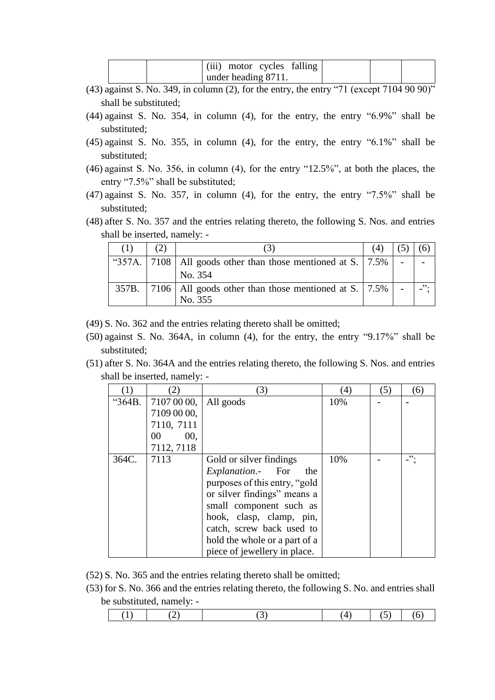|  | (iii) motor cycles falling |  |  |  |
|--|----------------------------|--|--|--|
|  | under heading 8711.        |  |  |  |

- (43) against S. No. 349, in column (2), for the entry, the entry "71 (except 7104 90 90)" shall be substituted;
- (44) against S. No. 354, in column (4), for the entry, the entry "6.9%" shall be substituted;
- (45) against S. No. 355, in column (4), for the entry, the entry "6.1%" shall be substituted;
- (46) against S. No. 356, in column (4), for the entry "12.5%", at both the places, the entry "7.5%" shall be substituted;
- (47) against S. No. 357, in column (4), for the entry, the entry "7.5%" shall be substituted;
- (48) after S. No. 357 and the entries relating thereto, the following S. Nos. and entries shall be inserted, namely: -

|       | (2) |                                                                              |  |  |
|-------|-----|------------------------------------------------------------------------------|--|--|
|       |     | "357A.   7108   All goods other than those mentioned at S.   7.5%<br>No. 354 |  |  |
| 357B. |     | 7106   All goods other than those mentioned at S.   7.5%   $-$<br>No. 355    |  |  |

(49) S. No. 362 and the entries relating thereto shall be omitted;

- (50) against S. No. 364A, in column (4), for the entry, the entry "9.17%" shall be substituted;
- (51) after S. No. 364A and the entries relating thereto, the following S. Nos. and entries shall be inserted, namely: -

|        |             | 3)                             | (4) | (5) | (6)   |
|--------|-------------|--------------------------------|-----|-----|-------|
| "364B. | 7107 00 00, | All goods                      | 10% |     |       |
|        | 7109 00 00, |                                |     |     |       |
|        | 7110, 7111  |                                |     |     |       |
|        | 00,<br>00   |                                |     |     |       |
|        | 7112, 7118  |                                |     |     |       |
| 364C.  | 7113        | Gold or silver findings        | 10% |     | $-$ " |
|        |             | <i>Explanation.</i> For<br>the |     |     |       |
|        |             | purposes of this entry, "gold  |     |     |       |
|        |             | or silver findings" means a    |     |     |       |
|        |             | small component such as        |     |     |       |
|        |             | hook, clasp, clamp, pin,       |     |     |       |
|        |             | catch, screw back used to      |     |     |       |
|        |             | hold the whole or a part of a  |     |     |       |
|        |             | piece of jewellery in place.   |     |     |       |

(52) S. No. 365 and the entries relating thereto shall be omitted;

(53) for S. No. 366 and the entries relating thereto, the following S. No. and entries shall be substituted, namely: -

|--|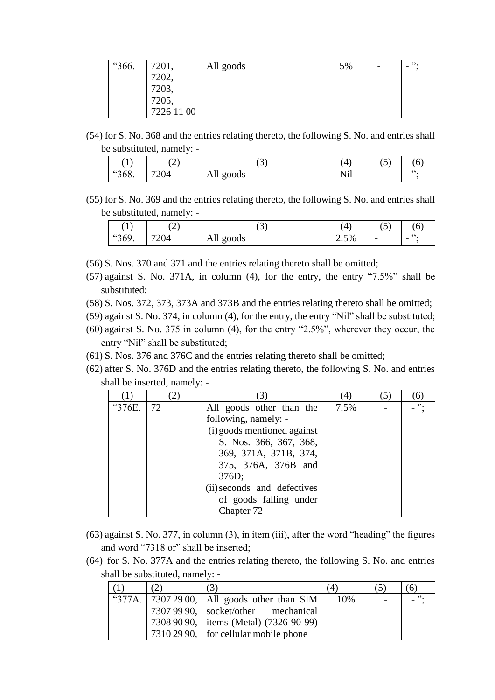| "366. |                                                | All goods | 5% | ,,, |
|-------|------------------------------------------------|-----------|----|-----|
|       |                                                |           |    |     |
|       |                                                |           |    |     |
|       |                                                |           |    |     |
|       | 7201,<br>7202,<br>7203,<br>7205,<br>7226 11 00 |           |    |     |

(54) for S. No. 368 and the entries relating thereto, the following S. No. and entries shall be substituted, namely: -

| د ۲۰<br>$\mathbf{I}$ | $\sim$<br>- | $\sim$<br>ت، | 4   | $\rightarrow$<br>◡       | v                              |
|----------------------|-------------|--------------|-----|--------------------------|--------------------------------|
| "368.                | 720A<br>204 | All<br>goods | Nil | $\overline{\phantom{0}}$ | ,,<br>$\overline{\phantom{0}}$ |

(55) for S. No. 369 and the entries relating thereto, the following S. No. and entries shall be substituted, namely: -

| $\mathbf{r}$ |      | ້         | (4   | ◡                        |                                |
|--------------|------|-----------|------|--------------------------|--------------------------------|
| "369.        | 7204 | All goods | 2.5% | $\overline{\phantom{0}}$ | ,,<br>$\overline{\phantom{0}}$ |

(56) S. Nos. 370 and 371 and the entries relating thereto shall be omitted;

- (57) against S. No. 371A, in column (4), for the entry, the entry "7.5%" shall be substituted;
- (58) S. Nos. 372, 373, 373A and 373B and the entries relating thereto shall be omitted;
- (59) against S. No. 374, in column (4), for the entry, the entry "Nil" shall be substituted;
- (60) against S. No. 375 in column (4), for the entry "2.5%", wherever they occur, the entry "Nil" shall be substituted;
- (61) S. Nos. 376 and 376C and the entries relating thereto shall be omitted;
- (62) after S. No. 376D and the entries relating thereto, the following S. No. and entries shall be inserted, namely: -

|        |    |                             | (4)  |    |
|--------|----|-----------------------------|------|----|
| "376E. | 72 | All goods other than the    | 7.5% | ". |
|        |    | following, namely: -        |      |    |
|        |    | (i) goods mentioned against |      |    |
|        |    | S. Nos. 366, 367, 368,      |      |    |
|        |    | 369, 371A, 371B, 374,       |      |    |
|        |    | 375, 376A, 376B and         |      |    |
|        |    | 376D;                       |      |    |
|        |    | (ii) seconds and defectives |      |    |
|        |    | of goods falling under      |      |    |
|        |    | Chapter 72                  |      |    |

- (63) against S. No. 377, in column (3), in item (iii), after the word "heading" the figures and word "7318 or" shall be inserted;
- (64) for S. No. 377A and the entries relating thereto, the following S. No. and entries shall be substituted, namely: -

|  | (3)                                             | 4   | 6 <sup>1</sup> |
|--|-------------------------------------------------|-----|----------------|
|  | "377A.   7307 29 00,   All goods other than SIM | 10% | $-$ ".         |
|  | 7307 99 90,   socket/other mechanical           |     |                |
|  | 7308 90 90, items (Metal) (7326 90 99)          |     |                |
|  | 7310 29 90, for cellular mobile phone           |     |                |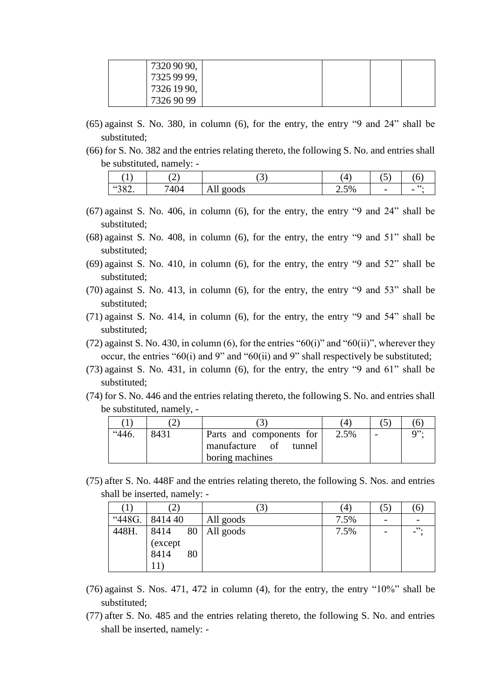| 7320 90 90, |  |  |
|-------------|--|--|
| 7325 99 99, |  |  |
| 7326 19 90, |  |  |
| 7326 90 99  |  |  |

- (65) against S. No. 380, in column (6), for the entry, the entry "9 and 24" shall be substituted;
- (66) for S. No. 382 and the entries relating thereto, the following S. No. and entries shall be substituted, namely: -

| ' 1 Ú<br>л. | $\overline{\phantom{a}}$<br>∠ | U                          | Ί    | $\overline{\phantom{0}}$<br>ັ |  |
|-------------|-------------------------------|----------------------------|------|-------------------------------|--|
| "382.       | 7404                          | goods<br>-<br>1 <b>111</b> | 2.5% | $\overline{\phantom{0}}$      |  |

- (67) against S. No. 406, in column (6), for the entry, the entry "9 and 24" shall be substituted;
- (68) against S. No. 408, in column (6), for the entry, the entry "9 and 51" shall be substituted;
- (69) against S. No. 410, in column (6), for the entry, the entry "9 and 52" shall be substituted;
- (70) against S. No. 413, in column (6), for the entry, the entry "9 and 53" shall be substituted;
- (71) against S. No. 414, in column (6), for the entry, the entry "9 and 54" shall be substituted;
- (72) against S. No. 430, in column (6), for the entries " $60(i)$ " and " $60(ii)$ ", wherever they occur, the entries "60(i) and 9" and "60(ii) and 9" shall respectively be substituted;
- (73) against S. No. 431, in column (6), for the entry, the entry "9 and 61" shall be substituted;
- (74) for S. No. 446 and the entries relating thereto, the following S. No. and entries shall be substituted, namely, -

|      |                                                                         | 4    |                     |
|------|-------------------------------------------------------------------------|------|---------------------|
| 8431 | Parts and components for<br>manufacture of<br>tunnel<br>boring machines | 2.5% | $Q$ <sup>22</sup> . |

(75) after S. No. 448F and the entries relating thereto, the following S. Nos. and entries shall be inserted, namely: -

| . .    | $\angle$ )                          |           | $\left( 4\right)$ | $\mathfrak{I}$ ) | $\sigma$        |
|--------|-------------------------------------|-----------|-------------------|------------------|-----------------|
| "448G. | 841440                              | All goods | 7.5%              |                  |                 |
| 448H.  | 80<br>8414<br>(except<br>8414<br>80 | All goods | 7.5%              |                  | $-$ " $\cdot$ " |

- (76) against S. Nos. 471, 472 in column (4), for the entry, the entry "10%" shall be substituted;
- (77) after S. No. 485 and the entries relating thereto, the following S. No. and entries shall be inserted, namely: -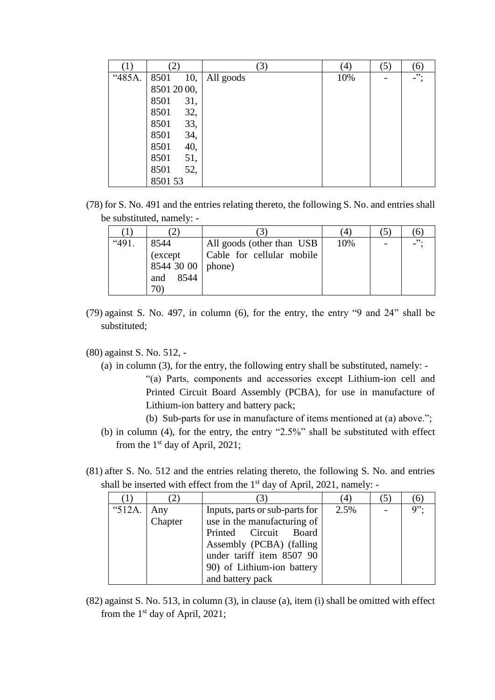|        | ′2,         | (3)       | $\left( 4\right)$ | (5) | (6)     |
|--------|-------------|-----------|-------------------|-----|---------|
| "485A. | 8501<br>10, | All goods | 10%               |     | $\cdot$ |
|        | 8501 20 00, |           |                   |     |         |
|        | 8501<br>31, |           |                   |     |         |
|        | 8501<br>32, |           |                   |     |         |
|        | 33,<br>8501 |           |                   |     |         |
|        | 8501<br>34, |           |                   |     |         |
|        | 8501<br>40, |           |                   |     |         |
|        | 8501<br>51, |           |                   |     |         |
|        | 52,<br>8501 |           |                   |     |         |
|        | 8501 53     |           |                   |     |         |

(78) for S. No. 491 and the entries relating thereto, the following S. No. and entries shall be substituted, namely: -

|       |                     |                            | $^{\prime}$ 4 |                     |
|-------|---------------------|----------------------------|---------------|---------------------|
| "491. | 8544                | All goods (other than USB) | 10%           | $-$ <sup>22</sup> . |
|       | (except             | Cable for cellular mobile  |               |                     |
|       | 8544 30 00   phone) |                            |               |                     |
|       | 8544<br>and         |                            |               |                     |
|       | 70                  |                            |               |                     |

- (79) against S. No. 497, in column (6), for the entry, the entry "9 and 24" shall be substituted;
- (80) against S. No. 512,
	- (a) in column (3), for the entry, the following entry shall be substituted, namely: "(a) Parts, components and accessories except Lithium-ion cell and Printed Circuit Board Assembly (PCBA), for use in manufacture of
		- Lithium-ion battery and battery pack; (b) Sub-parts for use in manufacture of items mentioned at (a) above.";
	- (b) in column (4), for the entry, the entry "2.5%" shall be substituted with effect from the 1st day of April, 2021;
- (81) after S. No. 512 and the entries relating thereto, the following S. No. and entries shall be inserted with effect from the  $1<sup>st</sup>$  day of April, 2021, namely: -

|        |                |                                                                                                                                                                               | $\left(4\right)$ |                    |
|--------|----------------|-------------------------------------------------------------------------------------------------------------------------------------------------------------------------------|------------------|--------------------|
| "512A. | Any<br>Chapter | Inputs, parts or sub-parts for<br>use in the manufacturing of<br>Printed Circuit Board<br>Assembly (PCBA) (falling<br>under tariff item 8507 90<br>90) of Lithium-ion battery | 2.5%             | $Q$ <sup>2</sup> . |
|        |                | and battery pack                                                                                                                                                              |                  |                    |

(82) against S. No. 513, in column (3), in clause (a), item (i) shall be omitted with effect from the  $1<sup>st</sup>$  day of April, 2021;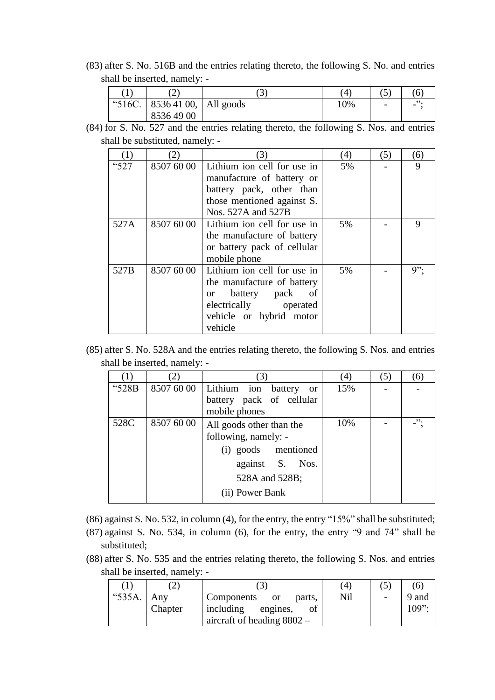(83) after S. No. 516B and the entries relating thereto, the following S. No. and entries shall be inserted, namely: -

|  | ∠                                | ◡ | 4   | ◡                        |  |
|--|----------------------------------|---|-----|--------------------------|--|
|  | "516C.   8536 41 00,   All goods |   | 10% | $\overline{\phantom{0}}$ |  |
|  | 85364900                         |   |     |                          |  |

(84) for S. No. 527 and the entries relating thereto, the following S. Nos. and entries shall be substituted, namely: -

| $\left(1\right)$ |            | 3)                          | $^{(4)}$ | (5) | (6)    |
|------------------|------------|-----------------------------|----------|-----|--------|
| "527             | 8507 60 00 | Lithium ion cell for use in | 5%       |     | 9      |
|                  |            | manufacture of battery or   |          |     |        |
|                  |            | battery pack, other than    |          |     |        |
|                  |            | those mentioned against S.  |          |     |        |
|                  |            | Nos. 527A and 527B          |          |     |        |
| 527A             | 8507 60 00 | Lithium ion cell for use in | 5%       |     | 9      |
|                  |            | the manufacture of battery  |          |     |        |
|                  |            | or battery pack of cellular |          |     |        |
|                  |            | mobile phone                |          |     |        |
| 527B             | 8507 60 00 | Lithium ion cell for use in | 5%       |     | $9$ ": |
|                  |            | the manufacture of battery  |          |     |        |
|                  |            | or battery pack<br>of       |          |     |        |
|                  |            | electrically operated       |          |     |        |
|                  |            | vehicle or hybrid motor     |          |     |        |
|                  |            | vehicle                     |          |     |        |

(85) after S. No. 528A and the entries relating thereto, the following S. Nos. and entries shall be inserted, namely: -

|       |            |                                      | 4   | 5) | 6  |
|-------|------------|--------------------------------------|-----|----|----|
| "528B | 8507 60 00 | Lithium ion battery<br><sub>or</sub> | 15% |    |    |
|       |            | battery pack of cellular             |     |    |    |
|       |            | mobile phones                        |     |    |    |
| 528C  | 8507 60 00 | All goods other than the             | 10% |    | ". |
|       |            | following, namely: -                 |     |    |    |
|       |            | (i) goods mentioned                  |     |    |    |
|       |            | against S. Nos.                      |     |    |    |
|       |            | 528A and 528B;                       |     |    |    |
|       |            | (ii) Power Bank                      |     |    |    |

(86) against S. No. 532, in column (4), for the entry, the entry "15%" shall be substituted;

- (87) against S. No. 534, in column (6), for the entry, the entry "9 and 74" shall be substituted;
- (88) after S. No. 535 and the entries relating thereto, the following S. Nos. and entries shall be inserted, namely: -

|                |         |                                       | (4  | $\mathcal{D}$            |          |
|----------------|---------|---------------------------------------|-----|--------------------------|----------|
| " $535A$ . Any |         | Components<br>parts.<br><sub>or</sub> | Nil | $\overline{\phantom{a}}$ | 9 and    |
|                | Chapter | including engines,                    |     |                          | $109$ ": |
|                |         | aircraft of heading $8802 -$          |     |                          |          |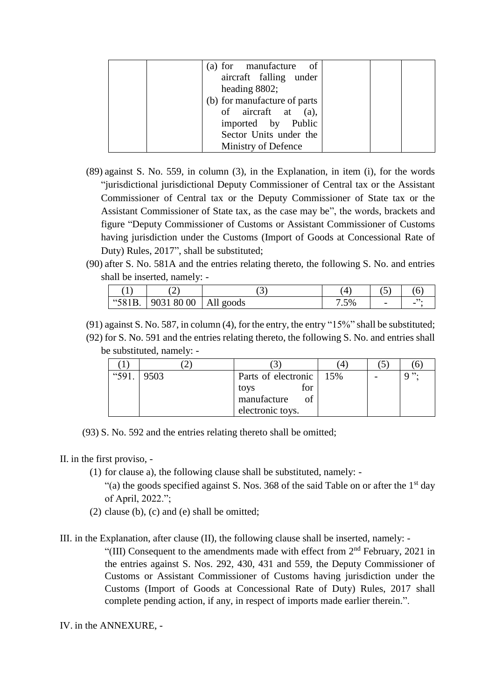| (a) for manufacture of       |  |
|------------------------------|--|
| aircraft falling under       |  |
| heading 8802;                |  |
| (b) for manufacture of parts |  |
| of aircraft at (a),          |  |
| imported by Public           |  |
| Sector Units under the       |  |
| Ministry of Defence          |  |

- (89) against S. No. 559, in column (3), in the Explanation, in item (i), for the words "jurisdictional jurisdictional Deputy Commissioner of Central tax or the Assistant Commissioner of Central tax or the Deputy Commissioner of State tax or the Assistant Commissioner of State tax, as the case may be", the words, brackets and figure "Deputy Commissioner of Customs or Assistant Commissioner of Customs having jurisdiction under the Customs (Import of Goods at Concessional Rate of Duty) Rules, 2017", shall be substituted;
- (90) after S. No. 581A and the entries relating thereto, the following S. No. and entries shall be inserted, namely: -

|        | ∼          | ັ         | $\frac{4}{4}$ | ັ                        |  |
|--------|------------|-----------|---------------|--------------------------|--|
| "581B. | 9031 80 00 | All goods | 7.5%          | $\overline{\phantom{0}}$ |  |

(91) against S. No. 587, in column (4), for the entry, the entry "15%" shall be substituted;

(92) for S. No. 591 and the entries relating thereto, the following S. No. and entries shall be substituted, namely: -

| "591. | 9503 | Parts of electronic | 15% | $Q$ ". |
|-------|------|---------------------|-----|--------|
|       |      | for<br>tovs         |     |        |
|       |      | manufacture<br>of   |     |        |
|       |      | electronic toys.    |     |        |

(93) S. No. 592 and the entries relating thereto shall be omitted;

II. in the first proviso, -

- (1) for clause a), the following clause shall be substituted, namely:
	- "(a) the goods specified against S. Nos. 368 of the said Table on or after the  $1<sup>st</sup>$  day of April, 2022.";
- (2) clause (b), (c) and (e) shall be omitted;

III. in the Explanation, after clause (II), the following clause shall be inserted, namely: -

"(III) Consequent to the amendments made with effect from  $2<sup>nd</sup>$  February, 2021 in the entries against S. Nos. 292, 430, 431 and 559, the Deputy Commissioner of Customs or Assistant Commissioner of Customs having jurisdiction under the Customs (Import of Goods at Concessional Rate of Duty) Rules, 2017 shall complete pending action, if any, in respect of imports made earlier therein.".

IV. in the ANNEXURE, -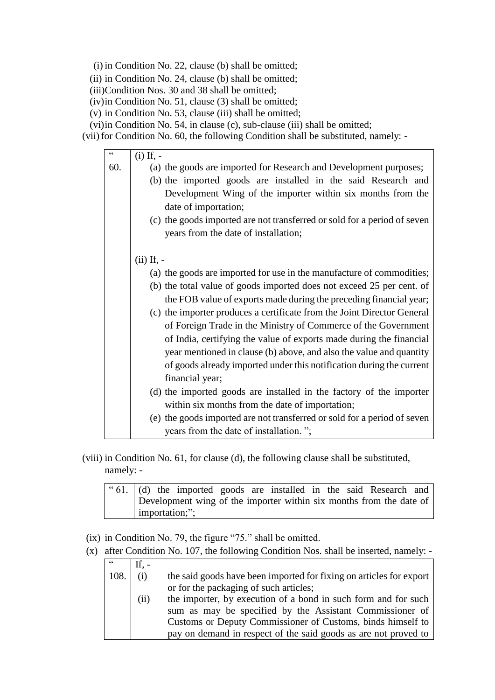(i) in Condition No. 22, clause (b) shall be omitted;

(ii) in Condition No. 24, clause (b) shall be omitted;

(iii)Condition Nos. 30 and 38 shall be omitted;

(iv)in Condition No. 51, clause (3) shall be omitted;

(v) in Condition No. 53, clause (iii) shall be omitted;

- (vi)in Condition No. 54, in clause (c), sub-clause (iii) shall be omitted;
- (vii) for Condition No. 60, the following Condition shall be substituted, namely: -

| $\epsilon$ | $(i)$ If, $-$                                                                                                                               |
|------------|---------------------------------------------------------------------------------------------------------------------------------------------|
| 60.        | (a) the goods are imported for Research and Development purposes;                                                                           |
|            | (b) the imported goods are installed in the said Research and                                                                               |
|            | Development Wing of the importer within six months from the<br>date of importation;                                                         |
|            | (c) the goods imported are not transferred or sold for a period of seven<br>years from the date of installation;                            |
|            | $(ii)$ If, $-$                                                                                                                              |
|            | (a) the goods are imported for use in the manufacture of commodities;                                                                       |
|            | (b) the total value of goods imported does not exceed 25 per cent. of<br>the FOB value of exports made during the preceding financial year; |
|            | (c) the importer produces a certificate from the Joint Director General                                                                     |
|            | of Foreign Trade in the Ministry of Commerce of the Government                                                                              |
|            | of India, certifying the value of exports made during the financial<br>year mentioned in clause (b) above, and also the value and quantity  |
|            | of goods already imported under this notification during the current<br>financial year;                                                     |
|            | (d) the imported goods are installed in the factory of the importer                                                                         |
|            | within six months from the date of importation;                                                                                             |
|            | (e) the goods imported are not transferred or sold for a period of seven                                                                    |
|            | years from the date of installation. ";                                                                                                     |

(viii) in Condition No. 61, for clause (d), the following clause shall be substituted, namely: -

|                | "61. (d) the imported goods are installed in the said Research and  |  |  |  |  |  |  |
|----------------|---------------------------------------------------------------------|--|--|--|--|--|--|
|                | Development wing of the importer within six months from the date of |  |  |  |  |  |  |
| importation;"; |                                                                     |  |  |  |  |  |  |

- (ix) in Condition No. 79, the figure "75." shall be omitted.
- (x) after Condition No. 107, the following Condition Nos. shall be inserted, namely: -

| $\epsilon$ |      |                                                                     |
|------------|------|---------------------------------------------------------------------|
| 108.       | (i)  | the said goods have been imported for fixing on articles for export |
|            |      | or for the packaging of such articles;                              |
|            | (ii) | the importer, by execution of a bond in such form and for such      |
|            |      | sum as may be specified by the Assistant Commissioner of            |
|            |      | Customs or Deputy Commissioner of Customs, binds himself to         |
|            |      | pay on demand in respect of the said goods as are not proved to     |